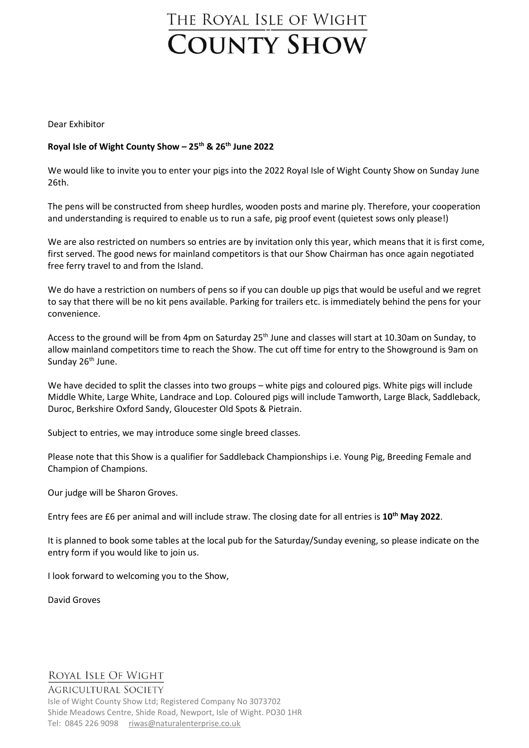# THE ROYAL ISLE OF WIGHT **COUNTY SHOW**

Dear Exhibitor

#### **Royal Isle of Wight County Show – 25th & 26 th June 2022**

We would like to invite you to enter your pigs into the 2022 Royal Isle of Wight County Show on Sunday June 26th.

The pens will be constructed from sheep hurdles, wooden posts and marine ply. Therefore, your cooperation and understanding is required to enable us to run a safe, pig proof event (quietest sows only please!)

We are also restricted on numbers so entries are by invitation only this year, which means that it is first come, first served. The good news for mainland competitors is that our Show Chairman has once again negotiated free ferry travel to and from the Island.

We do have a restriction on numbers of pens so if you can double up pigs that would be useful and we regret to say that there will be no kit pens available. Parking for trailers etc. is immediately behind the pens for your convenience.

Access to the ground will be from 4pm on Saturday 25<sup>th</sup> June and classes will start at 10.30am on Sunday, to allow mainland competitors time to reach the Show. The cut off time for entry to the Showground is 9am on Sunday 26<sup>th</sup> June.

We have decided to split the classes into two groups – white pigs and coloured pigs. White pigs will include Middle White, Large White, Landrace and Lop. Coloured pigs will include Tamworth, Large Black, Saddleback, Duroc, Berkshire Oxford Sandy, Gloucester Old Spots & Pietrain.

Subject to entries, we may introduce some single breed classes.

Please note that this Show is a qualifier for Saddleback Championships i.e. Young Pig, Breeding Female and Champion of Champions.

Our judge will be Sharon Groves.

Entry fees are £6 per animal and will include straw. The closing date for all entries is **10th May 2022**.

It is planned to book some tables at the local pub for the Saturday/Sunday evening, so please indicate on the entry form if you would like to join us.

I look forward to welcoming you to the Show,

David Groves

### ROYAL ISLE OF WIGHT

**AGRICULTURAL SOCIETY** 

Isle of Wight County Show Ltd; Registered Company No 3073702 Shide Meadows Centre, Shide Road, Newport, Isle of Wight. PO30 1HR Tel: 0845 226 9098 [riwas@naturalenterprise.co.uk](mailto:riwas@naturalenterprise.co.uk)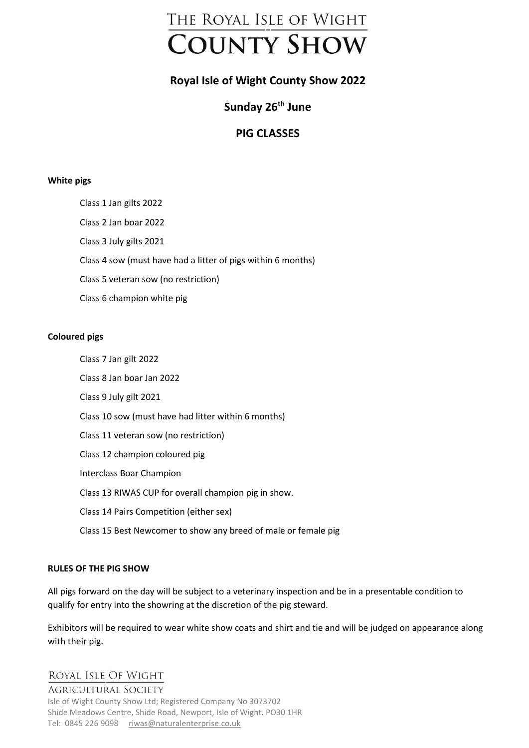

# **Royal Isle of Wight County Show 2022**

# **Sunday 26th June**

## **PIG CLASSES**

#### **White pigs**

Class 1 Jan gilts 2022 Class 2 Jan boar 2022 Class 3 July gilts 2021 Class 4 sow (must have had a litter of pigs within 6 months) Class 5 veteran sow (no restriction) Class 6 champion white pig

#### **Coloured pigs**

Class 7 Jan gilt 2022 Class 8 Jan boar Jan 2022 Class 9 July gilt 2021 Class 10 sow (must have had litter within 6 months) Class 11 veteran sow (no restriction) Class 12 champion coloured pig Interclass Boar Champion Class 13 RIWAS CUP for overall champion pig in show. Class 14 Pairs Competition (either sex) Class 15 Best Newcomer to show any breed of male or female pig

#### **RULES OF THE PIG SHOW**

All pigs forward on the day will be subject to a veterinary inspection and be in a presentable condition to qualify for entry into the showring at the discretion of the pig steward.

Exhibitors will be required to wear white show coats and shirt and tie and will be judged on appearance along with their pig.

### ROYAL ISLE OF WIGHT

#### **AGRICULTURAL SOCIETY**

Isle of Wight County Show Ltd; Registered Company No 3073702 Shide Meadows Centre, Shide Road, Newport, Isle of Wight. PO30 1HR Tel: 0845 226 9098 [riwas@naturalenterprise.co.uk](mailto:riwas@naturalenterprise.co.uk)